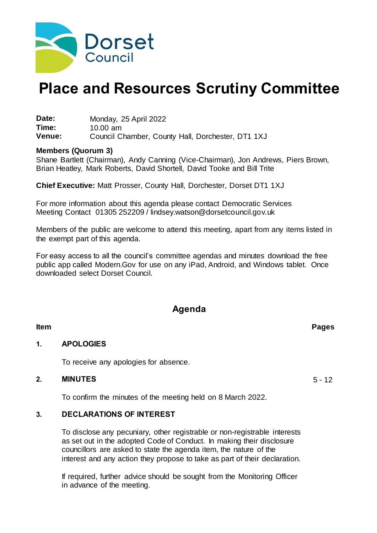

# **Place and Resources Scrutiny Committee**

**Date:** Monday, 25 April 2022<br> **Time:** 10.00 am **Time:** 10.00 am Council Chamber, County Hall, Dorchester, DT1 1XJ

#### **Members (Quorum 3)**

Shane Bartlett (Chairman), Andy Canning (Vice-Chairman), Jon Andrews, Piers Brown, Brian Heatley, Mark Roberts, David Shortell, David Tooke and Bill Trite

**Chief Executive:** Matt Prosser, County Hall, Dorchester, Dorset DT1 1XJ

For more information about this agenda please contact Democratic Services Meeting Contact 01305 252209 / lindsey.watson@dorsetcouncil.gov.uk

Members of the public are welcome to attend this meeting, apart from any items listed in the exempt part of this agenda.

For easy access to all the council's committee agendas and minutes download the free public app called Modern.Gov for use on any iPad, Android, and Windows tablet. Once downloaded select Dorset Council.

## **Agenda**

#### **Item Pages**

#### **1. APOLOGIES**

To receive any apologies for absence.

#### **2. MINUTES** 5 - 12

To confirm the minutes of the meeting held on 8 March 2022.

#### **3. DECLARATIONS OF INTEREST**

To disclose any pecuniary, other registrable or non-registrable interests as set out in the adopted Code of Conduct. In making their disclosure councillors are asked to state the agenda item, the nature of the interest and any action they propose to take as part of their declaration.

If required, further advice should be sought from the Monitoring Officer in advance of the meeting.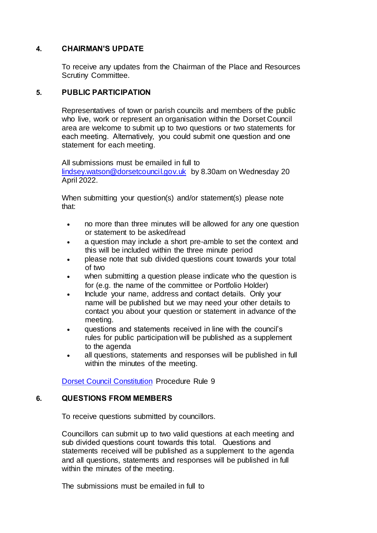#### **4. CHAIRMAN'S UPDATE**

To receive any updates from the Chairman of the Place and Resources Scrutiny Committee.

#### **5. PUBLIC PARTICIPATION**

Representatives of town or parish councils and members of the public who live, work or represent an organisation within the Dorset Council area are welcome to submit up to two questions or two statements for each meeting.  Alternatively, you could submit one question and one statement for each meeting.

All submissions must be emailed in full to

[lindsey.watson@dorsetcouncil.gov.uk](mailto:lindsey.watson@dorsetcouncil.gov.uk) by 8.30am on Wednesday 20 April 2022.

When submitting your question(s) and/or statement(s) please note that:

- no more than three minutes will be allowed for any one question or statement to be asked/read
- a question may include a short pre-amble to set the context and this will be included within the three minute period
- please note that sub divided questions count towards your total of two
- when submitting a question please indicate who the question is for (e.g. the name of the committee or Portfolio Holder)
- Include your name, address and contact details.  Only your name will be published but we may need your other details to contact you about your question or statement in advance of the meeting.
- questions and statements received in line with the council's rules for public participation will be published as a supplement to the agenda
- all questions, statements and responses will be published in full within the minutes of the meeting.

[Dorset Council Constitution](https://moderngov.dorsetcouncil.gov.uk/ieListMeetings.aspx?CId=433&Year=0&info=1&MD=constitution) Procedure Rule 9

#### **6. QUESTIONS FROM MEMBERS**

To receive questions submitted by councillors.

Councillors can submit up to two valid questions at each meeting and sub divided questions count towards this total.   Questions and statements received will be published as a supplement to the agenda and all questions, statements and responses will be published in full within the minutes of the meeting.

The submissions must be emailed in full to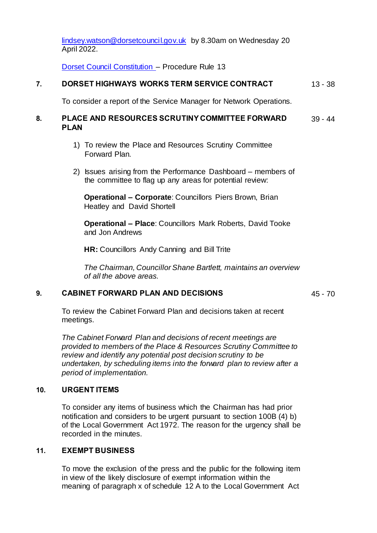[lindsey.watson@dorsetcouncil.gov.uk](mailto:lindsey.watson@dorsetcouncil.gov.uk) by 8.30am on Wednesday 20 April 2022.

[Dorset Council Constitution](https://moderngov.dorsetcouncil.gov.uk/ieListMeetings.aspx?CId=433&Year=0&info=1&MD=constitution) – Procedure Rule 13

#### **7. DORSET HIGHWAYS WORKS TERM SERVICE CONTRACT** 13 - 38

To consider a report of the Service Manager for Network Operations.

#### **8. PLACE AND RESOURCES SCRUTINY COMMITTEE FORWARD PLAN** 39 - 44

- 1) To review the Place and Resources Scrutiny Committee Forward Plan.
- 2) Issues arising from the Performance Dashboard members of the committee to flag up any areas for potential review:

**Operational – Corporate**: Councillors Piers Brown, Brian Heatley and David Shortell

**Operational – Place**: Councillors Mark Roberts, David Tooke and Jon Andrews

**HR:** Councillors Andy Canning and Bill Trite

*The Chairman, Councillor Shane Bartlett, maintains an overview of all the above areas.*

#### **9. CABINET FORWARD PLAN AND DECISIONS** 45 - 70

To review the Cabinet Forward Plan and decisions taken at recent meetings.

*The Cabinet Forward Plan and decisions of recent meetings are provided to members of the Place & Resources Scrutiny Committee to review and identify any potential post decision scrutiny to be undertaken, by scheduling items into the forward plan to review after a period of implementation.*

#### **10. URGENT ITEMS**

To consider any items of business which the Chairman has had prior notification and considers to be urgent pursuant to section 100B (4) b) of the Local Government Act 1972. The reason for the urgency shall be recorded in the minutes.

#### **11. EXEMPT BUSINESS**

To move the exclusion of the press and the public for the following item in view of the likely disclosure of exempt information within the meaning of paragraph x of schedule 12 A to the Local Government Act